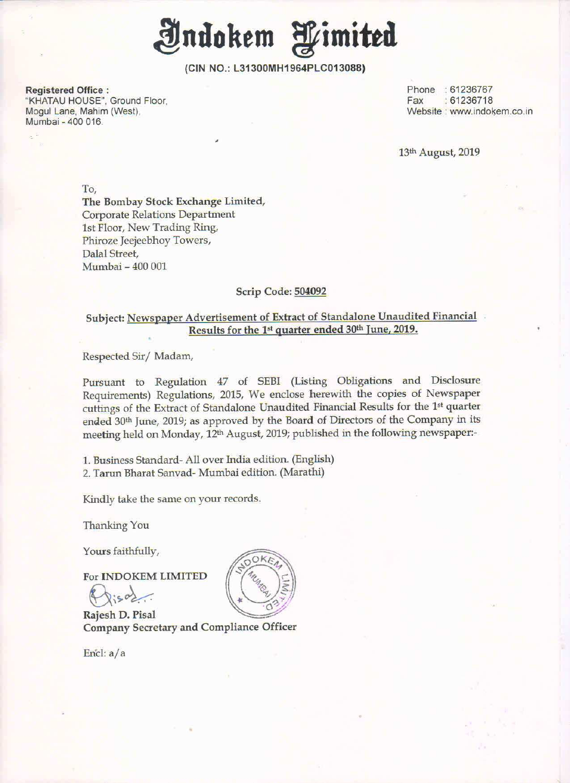

(CIN NO.: L31300MH1964PLCD13088)

Registered Office : Phone : 61236767<br>
"KHATAU HOUSE". Ground Floor. Note and the series of the series of the series of the series of the series of t<br>
"KHATAU HOUSE". Ground Floor. "KHATAU HOUSE", Ground Floor,<br>Mogul Lane, Mahim (West), Mumbai - 400 016

Website : www.indokem.co.in

13th August, 2019

To,

The Bombay Stock Exchange Limited, Corporate Relations Department lst Floor, New Trading Ring, Phiroze Jeejeebhoy Towers, Dalal Street, Mumbai — 400 001

#### Scrip Code: 504092

#### Subject: Newspaper Advertisement of Extract of Standalone Unaudited Financial Results for the 1<sup>st</sup> quarter ended 30<sup>th</sup> June, 2019.

Respected Sir/ Madam,

Pursuant to Regulation <sup>47</sup> of SEBI (Listing Obligations and Disclosure Requirements) Regulations, 2015, We enclose herewith the copies of Newspaper cuttings of the Extract of Standalone Unaudited Financial Results for the 1<sup>st</sup> quarter ended 30<sup>th</sup> June, 2019; as approved by the Board of Directors of the Company in its meeting held on Monday, 12m August, 2019; published in the following newspaper:-

1. Business Standard- All over India edition. (English) 2. Tarun Bharat Sanvad- Mumbai edition. (Marathi)

Kindly take the same on your records.

Thanking You

Yours faithfully,

For INDOKEM LIMITED

 $\sqrt{5802}$ 

Rajesh D. Pisal Company Secretary and Compliance Officer

En'cl: a/a

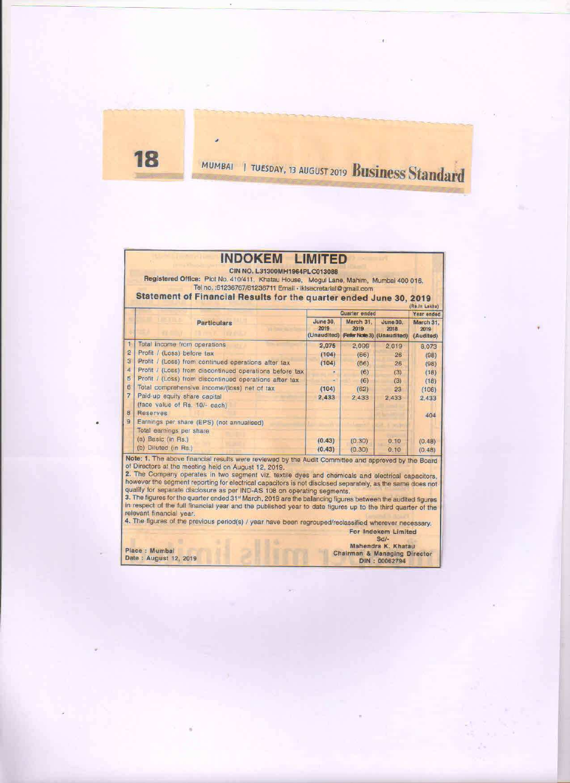18

# MUMBAI I TUESDAY, 13 AUGUST 2019 Business Standard

## **INDOKEM LIMITED**

CIN NO. L31300MH1964PLC013088

Registered Office: Plot No. 410/411, Khatau House, Mogul Lane, Mahim, Mumbai 400 016.<br>Tel no. 61236767/61236711 Email - iklsecretarial@gmail.com

Statement of Financial Results for the quarter ended June 30, 2019

|                |                                                                       | Quarter ended            | Year ended        |                                                                   |                                |
|----------------|-----------------------------------------------------------------------|--------------------------|-------------------|-------------------------------------------------------------------|--------------------------------|
|                | <b>Particulars</b>                                                    | <b>June 30.</b><br>2019  | March 31.<br>2019 | <b>June 30.</b><br>2018<br>(Unaudited) (Refer Note 3) (Unaudited) | March 31.<br>2019<br>(Audited) |
|                | Total income from operations                                          | 2.075                    | 2,099             | 2,019                                                             | 8.073                          |
| $\overline{2}$ | Profit / (Loss) before tax                                            | (104)                    | (66)              | $-26$                                                             | (98)                           |
| з              | Profit / (Loss) from continued operations after tax                   | (104)                    | (66)              | 26                                                                | (98)                           |
| 4              | Profit / (Loss) from discontinued operations before tax               |                          | (6)               | (3)                                                               | (18)                           |
| 5              | Profit / (Loss) from discontinued operations after tax                | $\overline{\phantom{a}}$ | (6)               | (3)                                                               | (18)                           |
| 6              | Total comprehensive Income/(loss) net of tax                          | (104)                    | (62)              | 23                                                                | (106)                          |
|                | Paid-up equity share capital<br>(face value of Rs. 10/- each)         | 2,433                    | 2,433             | 2.433                                                             | 2.433                          |
| 8              | Reserves                                                              |                          |                   |                                                                   | 404                            |
| 9              | Earnings per share (EPS) (not annualised)<br>Total earnings per share |                          |                   |                                                                   |                                |
|                | (a) Basic (in Rs.)                                                    | (0.43)                   | (0.30)            | 0.10                                                              | (0.48)                         |
|                | (b) Diluted (in Rs.)                                                  | (0.43)                   | (0.30)            | 0.10                                                              | (0.48)                         |

Note: 1. The above financial results were reviewed by the Audit Committee and approved by the Board of Directors at the meeting held on August 12, 2019.<br>2. The Company operates in two segment viz. textile dyes and chemicals and electrical capacitors,

however the segment reporting for electrical capacitors is not disclosed separately, as the same does not qualify for separate disclosure as per IND-AS 108 on operating segments.

3. The figures for the quarter ended 31<sup>st</sup> March, 2019 are the balancing figures between the audited figures in respect of the full financial year and the published year to date figures up to the third quarter of the relevant financial year.<br>4. The figures of the previous period(s) / year have been regrouped/reclassified wherever necessary.

For Indokem Limited

ector

|                       | $-112$                     |
|-----------------------|----------------------------|
|                       | Mahendra K. Khatau         |
| Place: Mumbai         | Chairman & Managing Direct |
| Date: August 12, 2019 | DIN: 00062794              |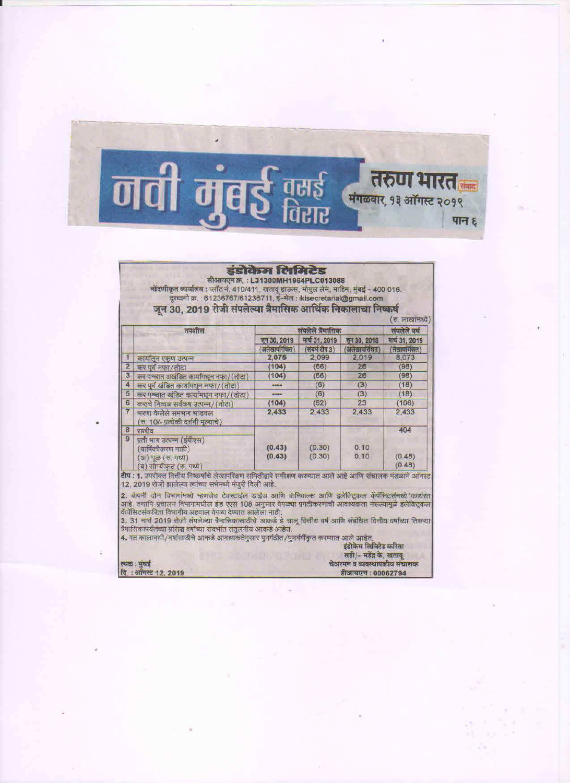

### इंडोकेम लिमिटेड

सीआयएन क्र. : L31300MH1964PLC013088<br>नोंदणीकृत कार्यालय : प्लॉट नं. 410/411, खताबू हाऊल, मोगुल लेन, माहिम, मुंबई - 400 016.<br>दूरखनी क्र. : 61236767/61236711, ई-मेल : iklsecretarial@gmail.com<br>जून 30, 2019 रोजी संपलेल्या त्रै

|                          | तपशील                                                                                            | संपलेले त्रैमासिक               |                                  |                              | संपलेले वर्ष                    |  |
|--------------------------|--------------------------------------------------------------------------------------------------|---------------------------------|----------------------------------|------------------------------|---------------------------------|--|
|                          |                                                                                                  | जून 30, 2019<br>अलेखापरिक्षित)  | मार्च 31, 2019<br>(संवर्ष टीप 3) | जून 30, 2018<br>अलेखापरिशित) | मार्च 31, 2019<br>लेखापरिक्षित) |  |
|                          | कार्यातून एकूण उत्पन्न                                                                           | 2,075                           | 2,099                            | 2,019                        | 8,073                           |  |
| $\overline{2}$           | कर पूर्व नफा/तोटा                                                                                | (104)                           | (66)                             | 26                           | (98)                            |  |
| 3                        | कर पश्चात अखंडित कार्यामधून नफा/(तोटा)                                                           | (104)                           | (66)                             | 26                           | (98)                            |  |
| $\overline{\mathcal{A}}$ | कर पूर्व खंडित कार्यामधून नफा/(तोटा)                                                             | ------                          | (6)                              | (3)                          | (18)                            |  |
| $\overline{5}$           | कर पश्चात खंडित कार्यामधून नफा/(तोटा)                                                            | <b><i><u>PERPRODUCT</u></i></b> | (6)                              | (3)                          | (18)                            |  |
| 6                        | कराचे निव्वळ सर्वकष उत्पन्न/(तोटा)                                                               | (104)                           | (62)                             | 23                           | (106)                           |  |
| $\overline{7}$           | भरणा केलेले समभाग भांडवल<br>(रु. 10/- प्रत्येकी दर्शनी मृल्याचे)                                 | 2,433                           | 2.433                            | 2,433                        | 2.433                           |  |
| 8                        | राखीव                                                                                            |                                 |                                  |                              | 404                             |  |
| $\overline{9}$           | प्रती भाग उत्पन्न (ईपीएस)<br>वार्षिकीकरण नाही)<br>अ) मूळ (रु. मध्ये)<br>ब) सौम्यीकृत (रु. मध्ये) | (0.43)<br>(0.43)                | (0.30)<br>(0.30)                 | 0.10<br>0.10                 | (0.48)<br>(0.48)                |  |

**टीप : 1.** उपरोक्त वित्तीय निष्कर्षाचे लेखापरिक्षण समितीद्वारे समीक्षण करण्यात आले आहे आणि संचालक मंडळाने ऑगस्ट<br>12, 2019 रोजी झालेल्या त्यांच्या सभेमध्ये मंजुरी दिली आहे.

12. कंपनी दोन विभागांमध्ये म्हणजेच टेक्स्टाईल डाईज आणि केमिकल्स आणि इलेक्ट्रिकल कॅपॅसिटर्समध्ये कार्यरत<br>आहे. तथापि प्रचालन विभागामधील इंड एएस 108 अनुसार वेगळ्या प्रगटीकरणाची आवश्यकता नसल्यामुळे इलेक्ट्रिकल<br>कॅपॅसिटर्सकरिता

4. गत कालावधी/वर्षासाठीचे आकडे आवश्यकतेनुसार पुनर्गठीत/पुनर्वर्गीकृत करण्यात आले आहेत. इंडोकेम लिमिटेड करिता

|                    | सही/- महेंद्र के. खताबू      |
|--------------------|------------------------------|
| स्थळ : मुंबई       | चेअरमन व व्यवस्थापकीय संचालक |
| दि: ऑगस्ट 12, 2019 | डीआयएन : 00062794            |